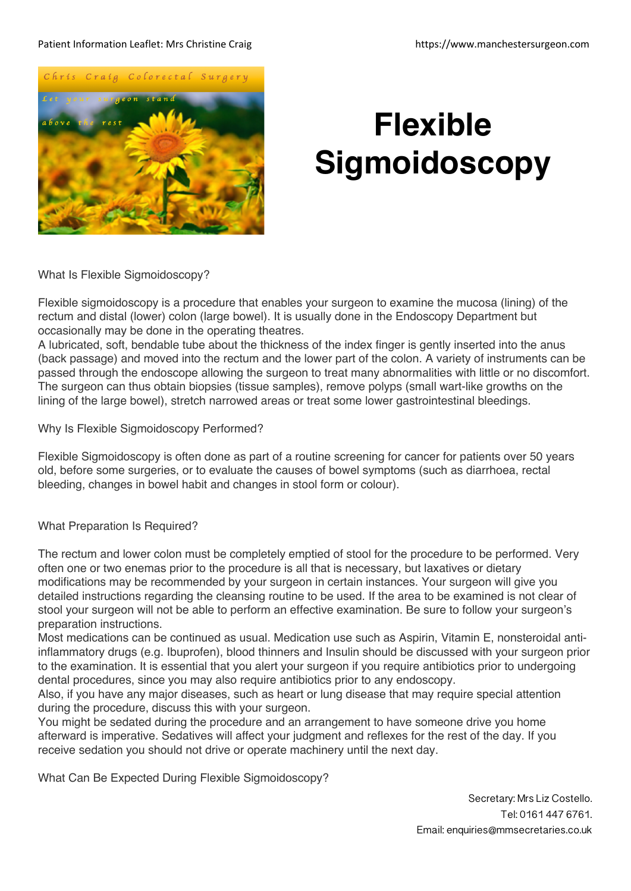### Patient Information Leaflet: Mrs Christine Craig https://www.manchestersurgeon.com



# **Flexible Sigmoidoscopy**

What Is Flexible Sigmoidoscopy?

Flexible sigmoidoscopy is a procedure that enables your surgeon to examine the mucosa (lining) of the rectum and distal (lower) colon (large bowel). It is usually done in the Endoscopy Department but occasionally may be done in the operating theatres.

A lubricated, soft, bendable tube about the thickness of the index finger is gently inserted into the anus (back passage) and moved into the rectum and the lower part of the colon. A variety of instruments can be passed through the endoscope allowing the surgeon to treat many abnormalities with little or no discomfort. The surgeon can thus obtain biopsies (tissue samples), remove polyps (small wart-like growths on the lining of the large bowel), stretch narrowed areas or treat some lower gastrointestinal bleedings.

Why Is Flexible Sigmoidoscopy Performed?

Flexible Sigmoidoscopy is often done as part of a routine screening for cancer for patients over 50 years old, before some surgeries, or to evaluate the causes of bowel symptoms (such as diarrhoea, rectal bleeding, changes in bowel habit and changes in stool form or colour).

What Preparation Is Required?

The rectum and lower colon must be completely emptied of stool for the procedure to be performed. Very often one or two enemas prior to the procedure is all that is necessary, but laxatives or dietary modifications may be recommended by your surgeon in certain instances. Your surgeon will give you detailed instructions regarding the cleansing routine to be used. If the area to be examined is not clear of stool your surgeon will not be able to perform an effective examination. Be sure to follow your surgeon's preparation instructions.

Most medications can be continued as usual. Medication use such as Aspirin, Vitamin E, nonsteroidal antiinflammatory drugs (e.g. Ibuprofen), blood thinners and Insulin should be discussed with your surgeon prior to the examination. It is essential that you alert your surgeon if you require antibiotics prior to undergoing dental procedures, since you may also require antibiotics prior to any endoscopy.

Also, if you have any major diseases, such as heart or lung disease that may require special attention during the procedure, discuss this with your surgeon.

You might be sedated during the procedure and an arrangement to have someone drive you home afterward is imperative. Sedatives will affect your judgment and reflexes for the rest of the day. If you receive sedation you should not drive or operate machinery until the next day.

What Can Be Expected During Flexible Sigmoidoscopy?

Secretary: Mrs Liz Costello. Tel: 0161 447 6761. Email: enquiries@mmsecretaries.co.uk